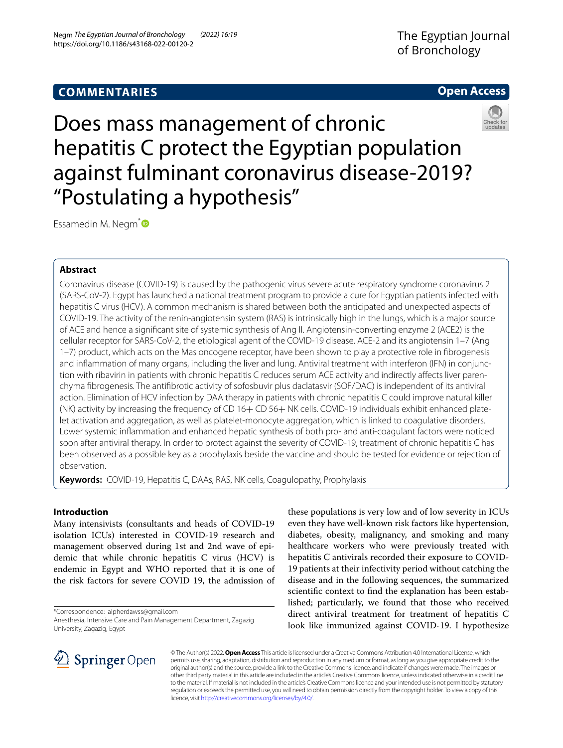# **COMMENTARIES**

# The Egyptian Journal of Bronchology





Does mass management of chronic hepatitis C protect the Egyptian population against fulminant coronavirus disease-2019? "Postulating a hypothesis"

Essamedin M. Negm<sup>[\\*](http://orcid.org/0000-0003-3303-6870)</sup>

# **Abstract**

Coronavirus disease (COVID-19) is caused by the pathogenic virus severe acute respiratory syndrome coronavirus 2 (SARS-CoV-2). Egypt has launched a national treatment program to provide a cure for Egyptian patients infected with hepatitis C virus (HCV). A common mechanism is shared between both the anticipated and unexpected aspects of COVID-19. The activity of the renin-angiotensin system (RAS) is intrinsically high in the lungs, which is a major source of ACE and hence a signifcant site of systemic synthesis of Ang II. Angiotensin-converting enzyme 2 (ACE2) is the cellular receptor for SARS-CoV-2, the etiological agent of the COVID-19 disease. ACE-2 and its angiotensin 1–7 (Ang 1–7) product, which acts on the Mas oncogene receptor, have been shown to play a protective role in fbrogenesis and infammation of many organs, including the liver and lung. Antiviral treatment with interferon (IFN) in conjunction with ribavirin in patients with chronic hepatitis C reduces serum ACE activity and indirectly afects liver parenchyma fbrogenesis. The antifbrotic activity of sofosbuvir plus daclatasvir (SOF/DAC) is independent of its antiviral action. Elimination of HCV infection by DAA therapy in patients with chronic hepatitis C could improve natural killer (NK) activity by increasing the frequency of CD 16+ CD 56+ NK cells. COVID-19 individuals exhibit enhanced platelet activation and aggregation, as well as platelet-monocyte aggregation, which is linked to coagulative disorders. Lower systemic infammation and enhanced hepatic synthesis of both pro- and anti-coagulant factors were noticed soon after antiviral therapy. In order to protect against the severity of COVID-19, treatment of chronic hepatitis C has been observed as a possible key as a prophylaxis beside the vaccine and should be tested for evidence or rejection of observation.

**Keywords:** COVID-19, Hepatitis C, DAAs, RAS, NK cells, Coagulopathy, Prophylaxis

# **Introduction**

Many intensivists (consultants and heads of COVID-19 isolation ICUs) interested in COVID-19 research and management observed during 1st and 2nd wave of epidemic that while chronic hepatitis C virus (HCV) is endemic in Egypt and WHO reported that it is one of the risk factors for severe COVID 19, the admission of

\*Correspondence: alpherdawss@gmail.com

these populations is very low and of low severity in ICUs even they have well-known risk factors like hypertension, diabetes, obesity, malignancy, and smoking and many healthcare workers who were previously treated with hepatitis C antivirals recorded their exposure to COVID-19 patients at their infectivity period without catching the disease and in the following sequences, the summarized scientifc context to fnd the explanation has been established; particularly, we found that those who received direct antiviral treatment for treatment of hepatitis C look like immunized against COVID-19. I hypothesize



© The Author(s) 2022. **Open Access** This article is licensed under a Creative Commons Attribution 4.0 International License, which permits use, sharing, adaptation, distribution and reproduction in any medium or format, as long as you give appropriate credit to the original author(s) and the source, provide a link to the Creative Commons licence, and indicate if changes were made. The images or other third party material in this article are included in the article's Creative Commons licence, unless indicated otherwise in a credit line to the material. If material is not included in the article's Creative Commons licence and your intended use is not permitted by statutory regulation or exceeds the permitted use, you will need to obtain permission directly from the copyright holder. To view a copy of this licence, visit [http://creativecommons.org/licenses/by/4.0/.](http://creativecommons.org/licenses/by/4.0/)

Anesthesia, Intensive Care and Pain Management Department, Zagazig University, Zagazig, Egypt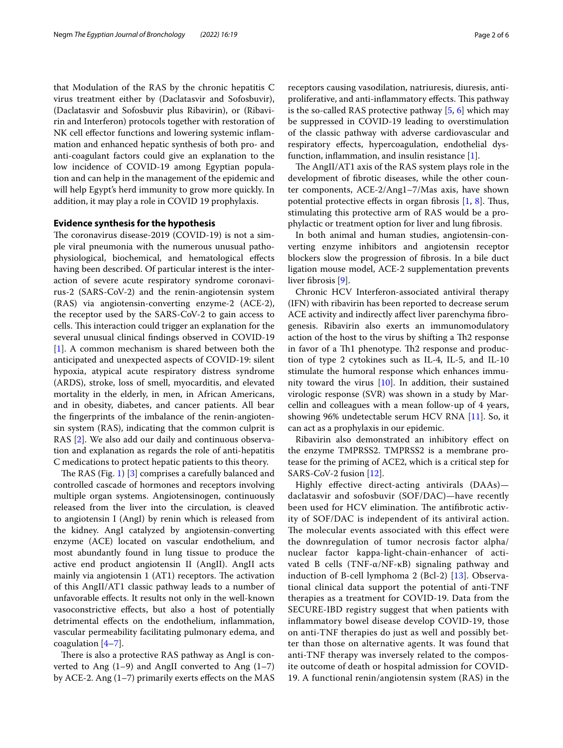that Modulation of the RAS by the chronic hepatitis C virus treatment either by (Daclatasvir and Sofosbuvir), (Daclatasvir and Sofosbuvir plus Ribavirin), or (Ribavirin and Interferon) protocols together with restoration of NK cell efector functions and lowering systemic infammation and enhanced hepatic synthesis of both pro- and anti-coagulant factors could give an explanation to the low incidence of COVID-19 among Egyptian population and can help in the management of the epidemic and will help Egypt's herd immunity to grow more quickly. In addition, it may play a role in COVID 19 prophylaxis.

### **Evidence synthesis for the hypothesis**

The coronavirus disease-2019 (COVID-19) is not a simple viral pneumonia with the numerous unusual pathophysiological, biochemical, and hematological efects having been described. Of particular interest is the interaction of severe acute respiratory syndrome coronavirus-2 (SARS-CoV-2) and the renin-angiotensin system (RAS) via angiotensin-converting enzyme-2 (ACE-2), the receptor used by the SARS-CoV-2 to gain access to cells. This interaction could trigger an explanation for the several unusual clinical fndings observed in COVID-19 [[1\]](#page-4-0). A common mechanism is shared between both the anticipated and unexpected aspects of COVID-19: silent hypoxia, atypical acute respiratory distress syndrome (ARDS), stroke, loss of smell, myocarditis, and elevated mortality in the elderly, in men, in African Americans, and in obesity, diabetes, and cancer patients. All bear the fngerprints of the imbalance of the renin-angiotensin system (RAS), indicating that the common culprit is RAS [\[2](#page-4-1)]. We also add our daily and continuous observation and explanation as regards the role of anti-hepatitis C medications to protect hepatic patients to this theory.

The RAS (Fig. [1\)](#page-2-0)  $[3]$  $[3]$  comprises a carefully balanced and controlled cascade of hormones and receptors involving multiple organ systems. Angiotensinogen, continuously released from the liver into the circulation, is cleaved to angiotensin I (AngI) by renin which is released from the kidney. AngI catalyzed by angiotensin-converting enzyme (ACE) located on vascular endothelium, and most abundantly found in lung tissue to produce the active end product angiotensin II (AngII). AngII acts mainly via angiotensin  $1$  (AT1) receptors. The activation of this AngII/AT1 classic pathway leads to a number of unfavorable efects. It results not only in the well-known vasoconstrictive efects, but also a host of potentially detrimental efects on the endothelium, infammation, vascular permeability facilitating pulmonary edema, and coagulation  $[4-7]$  $[4-7]$ .

There is also a protective RAS pathway as AngI is converted to Ang  $(1-9)$  and AngII converted to Ang  $(1-7)$ by ACE-2. Ang  $(1-7)$  primarily exerts effects on the MAS receptors causing vasodilation, natriuresis, diuresis, antiproliferative, and anti-inflammatory effects. This pathway is the so-called RAS protective pathway  $[5, 6]$  $[5, 6]$  $[5, 6]$  $[5, 6]$  which may be suppressed in COVID-19 leading to overstimulation of the classic pathway with adverse cardiovascular and respiratory efects, hypercoagulation, endothelial dysfunction, infammation, and insulin resistance [[1\]](#page-4-0).

The AngII/AT1 axis of the RAS system plays role in the development of fbrotic diseases, while the other counter components, ACE-2/Ang1–7/Mas axis, have shown potential protective effects in organ fibrosis  $[1, 8]$  $[1, 8]$  $[1, 8]$ . Thus, stimulating this protective arm of RAS would be a prophylactic or treatment option for liver and lung fbrosis.

In both animal and human studies, angiotensin-converting enzyme inhibitors and angiotensin receptor blockers slow the progression of fbrosis. In a bile duct ligation mouse model, ACE-2 supplementation prevents liver fibrosis [\[9](#page-4-8)].

Chronic HCV Interferon-associated antiviral therapy (IFN) with ribavirin has been reported to decrease serum ACE activity and indirectly affect liver parenchyma fibrogenesis. Ribavirin also exerts an immunomodulatory action of the host to the virus by shifting a Th<sub>2</sub> response in favor of a Th1 phenotype. Th2 response and production of type 2 cytokines such as IL-4, IL-5, and IL-10 stimulate the humoral response which enhances immunity toward the virus [\[10\]](#page-4-9). In addition, their sustained virologic response (SVR) was shown in a study by Marcellin and colleagues with a mean follow-up of 4 years, showing 96% undetectable serum HCV RNA [[11](#page-4-10)]. So, it can act as a prophylaxis in our epidemic.

Ribavirin also demonstrated an inhibitory efect on the enzyme TMPRSS2. TMPRSS2 is a membrane protease for the priming of ACE2, which is a critical step for SARS-CoV-2 fusion [\[12](#page-4-11)].

Highly efective direct-acting antivirals (DAAs) daclatasvir and sofosbuvir (SOF/DAC)—have recently been used for HCV elimination. The antifibrotic activity of SOF/DAC is independent of its antiviral action. The molecular events associated with this effect were the downregulation of tumor necrosis factor alpha/ nuclear factor kappa-light-chain-enhancer of activated B cells (TNF-α/NF-κB) signaling pathway and induction of B-cell lymphoma 2 (Bcl-2) [\[13\]](#page-4-12). Observational clinical data support the potential of anti-TNF therapies as a treatment for COVID-19. Data from the SECURE-IBD registry suggest that when patients with infammatory bowel disease develop COVID-19, those on anti-TNF therapies do just as well and possibly better than those on alternative agents. It was found that anti-TNF therapy was inversely related to the composite outcome of death or hospital admission for COVID-19. A functional renin/angiotensin system (RAS) in the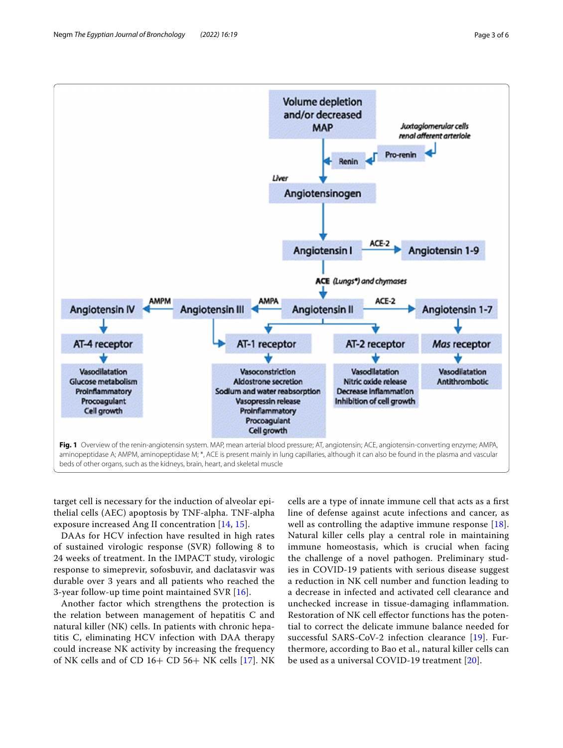

<span id="page-2-0"></span>target cell is necessary for the induction of alveolar epithelial cells (AEC) apoptosis by TNF-alpha. TNF-alpha exposure increased Ang II concentration [[14,](#page-4-13) [15\]](#page-4-14).

DAAs for HCV infection have resulted in high rates of sustained virologic response (SVR) following 8 to 24 weeks of treatment. In the IMPACT study, virologic response to simeprevir, sofosbuvir, and daclatasvir was durable over 3 years and all patients who reached the 3-year follow-up time point maintained SVR [[16](#page-4-15)].

Another factor which strengthens the protection is the relation between management of hepatitis C and natural killer (NK) cells. In patients with chronic hepatitis C, eliminating HCV infection with DAA therapy could increase NK activity by increasing the frequency of NK cells and of CD 16+ CD 56+ NK cells [\[17](#page-4-16)]. NK

cells are a type of innate immune cell that acts as a frst line of defense against acute infections and cancer, as well as controlling the adaptive immune response [[18](#page-5-0)]. Natural killer cells play a central role in maintaining immune homeostasis, which is crucial when facing the challenge of a novel pathogen. Preliminary studies in COVID-19 patients with serious disease suggest a reduction in NK cell number and function leading to a decrease in infected and activated cell clearance and unchecked increase in tissue-damaging infammation. Restoration of NK cell efector functions has the potential to correct the delicate immune balance needed for successful SARS-CoV-2 infection clearance [[19\]](#page-5-1). Furthermore, according to Bao et al., natural killer cells can be used as a universal COVID-19 treatment [\[20](#page-5-2)].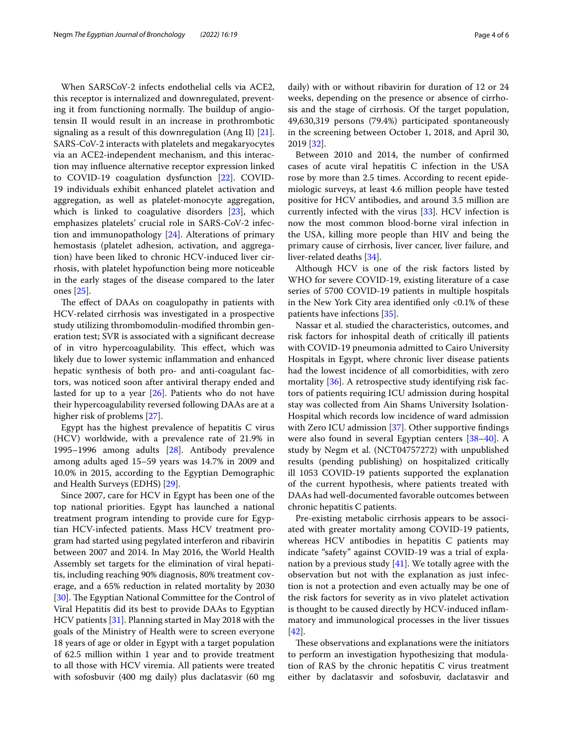When SARSCoV-2 infects endothelial cells via ACE2, this receptor is internalized and downregulated, preventing it from functioning normally. The buildup of angiotensin II would result in an increase in prothrombotic signaling as a result of this downregulation (Ang II) [\[21](#page-5-3)]. SARS-CoV-2 interacts with platelets and megakaryocytes via an ACE2-independent mechanism, and this interaction may infuence alternative receptor expression linked to COVID-19 coagulation dysfunction [[22\]](#page-5-4). COVID-19 individuals exhibit enhanced platelet activation and aggregation, as well as platelet-monocyte aggregation, which is linked to coagulative disorders [[23](#page-5-5)], which emphasizes platelets' crucial role in SARS-CoV-2 infection and immunopathology [[24\]](#page-5-6). Alterations of primary hemostasis (platelet adhesion, activation, and aggregation) have been liked to chronic HCV-induced liver cirrhosis, with platelet hypofunction being more noticeable in the early stages of the disease compared to the later ones [\[25\]](#page-5-7).

The effect of DAAs on coagulopathy in patients with HCV-related cirrhosis was investigated in a prospective study utilizing thrombomodulin-modifed thrombin generation test; SVR is associated with a signifcant decrease of in vitro hypercoagulability. This effect, which was likely due to lower systemic infammation and enhanced hepatic synthesis of both pro- and anti-coagulant factors, was noticed soon after antiviral therapy ended and lasted for up to a year  $[26]$  $[26]$ . Patients who do not have their hypercoagulability reversed following DAAs are at a higher risk of problems [\[27\]](#page-5-9).

Egypt has the highest prevalence of hepatitis C virus (HCV) worldwide, with a prevalence rate of 21.9% in 1995–1996 among adults [[28\]](#page-5-10). Antibody prevalence among adults aged 15–59 years was 14.7% in 2009 and 10.0% in 2015, according to the Egyptian Demographic and Health Surveys (EDHS) [[29\]](#page-5-11).

Since 2007, care for HCV in Egypt has been one of the top national priorities. Egypt has launched a national treatment program intending to provide cure for Egyptian HCV-infected patients. Mass HCV treatment program had started using pegylated interferon and ribavirin between 2007 and 2014. In May 2016, the World Health Assembly set targets for the elimination of viral hepatitis, including reaching 90% diagnosis, 80% treatment coverage, and a 65% reduction in related mortality by 2030 [[30\]](#page-5-12). The Egyptian National Committee for the Control of Viral Hepatitis did its best to provide DAAs to Egyptian HCV patients [\[31](#page-5-13)]. Planning started in May 2018 with the goals of the Ministry of Health were to screen everyone 18 years of age or older in Egypt with a target population of 62.5 million within 1 year and to provide treatment to all those with HCV viremia. All patients were treated with sofosbuvir (400 mg daily) plus daclatasvir (60 mg daily) with or without ribavirin for duration of 12 or 24 weeks, depending on the presence or absence of cirrhosis and the stage of cirrhosis. Of the target population, 49,630,319 persons (79.4%) participated spontaneously in the screening between October 1, 2018, and April 30, 2019 [[32\]](#page-5-14).

Between 2010 and 2014, the number of confrmed cases of acute viral hepatitis C infection in the USA rose by more than 2.5 times. According to recent epidemiologic surveys, at least 4.6 million people have tested positive for HCV antibodies, and around 3.5 million are currently infected with the virus [[33\]](#page-5-15). HCV infection is now the most common blood-borne viral infection in the USA, killing more people than HIV and being the primary cause of cirrhosis, liver cancer, liver failure, and liver-related deaths [[34](#page-5-16)].

Although HCV is one of the risk factors listed by WHO for severe COVID-19, existing literature of a case series of 5700 COVID-19 patients in multiple hospitals in the New York City area identifed only <0.1% of these patients have infections [\[35](#page-5-17)].

Nassar et al. studied the characteristics, outcomes, and risk factors for inhospital death of critically ill patients with COVID-19 pneumonia admitted to Cairo University Hospitals in Egypt, where chronic liver disease patients had the lowest incidence of all comorbidities, with zero mortality [[36\]](#page-5-18). A retrospective study identifying risk factors of patients requiring ICU admission during hospital stay was collected from Ain Shams University Isolation-Hospital which records low incidence of ward admission with Zero ICU admission [[37\]](#page-5-19). Other supportive fndings were also found in several Egyptian centers [[38](#page-5-20)[–40](#page-5-21)]. A study by Negm et al. (NCT04757272) with unpublished results (pending publishing) on hospitalized critically ill 1053 COVID-19 patients supported the explanation of the current hypothesis, where patients treated with DAAs had well-documented favorable outcomes between chronic hepatitis C patients.

Pre-existing metabolic cirrhosis appears to be associated with greater mortality among COVID-19 patients, whereas HCV antibodies in hepatitis C patients may indicate "safety" against COVID-19 was a trial of explanation by a previous study  $[41]$ . We totally agree with the observation but not with the explanation as just infection is not a protection and even actually may be one of the risk factors for severity as in vivo platelet activation is thought to be caused directly by HCV-induced infammatory and immunological processes in the liver tissues [[42\]](#page-5-23).

These observations and explanations were the initiators to perform an investigation hypothesizing that modulation of RAS by the chronic hepatitis C virus treatment either by daclatasvir and sofosbuvir, daclatasvir and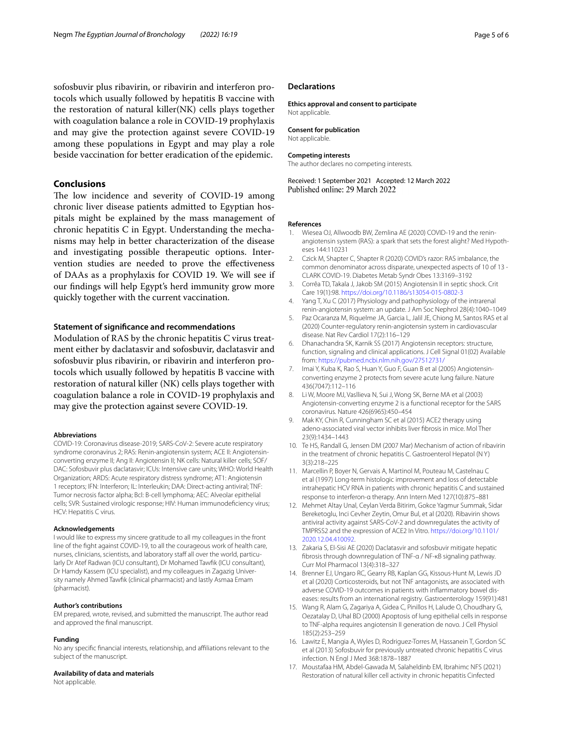sofosbuvir plus ribavirin, or ribavirin and interferon protocols which usually followed by hepatitis B vaccine with the restoration of natural killer(NK) cells plays together with coagulation balance a role in COVID-19 prophylaxis and may give the protection against severe COVID-19 among these populations in Egypt and may play a role beside vaccination for better eradication of the epidemic.

## **Conclusions**

The low incidence and severity of COVID-19 among chronic liver disease patients admitted to Egyptian hospitals might be explained by the mass management of chronic hepatitis C in Egypt. Understanding the mechanisms may help in better characterization of the disease and investigating possible therapeutic options. Intervention studies are needed to prove the efectiveness of DAAs as a prophylaxis for COVID 19. We will see if our fndings will help Egypt's herd immunity grow more quickly together with the current vaccination.

#### **Statement of signifcance and recommendations**

Modulation of RAS by the chronic hepatitis C virus treatment either by daclatasvir and sofosbuvir, daclatasvir and sofosbuvir plus ribavirin, or ribavirin and interferon protocols which usually followed by hepatitis B vaccine with restoration of natural killer (NK) cells plays together with coagulation balance a role in COVID-19 prophylaxis and may give the protection against severe COVID-19.

#### **Abbreviations**

COVID-19: Coronavirus disease-2019; SARS-CoV-2: Severe acute respiratory syndrome coronavirus 2; RAS: Renin-angiotensin system; ACE II: Angiotensinconverting enzyme II; Ang II: Angiotensin II; NK cells: Natural killer cells; SOF/ DAC: Sofosbuvir plus daclatasvir; ICUs: Intensive care units; WHO: World Health Organization; ARDS: Acute respiratory distress syndrome; AT1: Angiotensin 1 receptors; IFN: Interferon; IL: Interleukin; DAA: Direct-acting antiviral; TNF: Tumor necrosis factor alpha; Bcl: B-cell lymphoma; AEC: Alveolar epithelial cells; SVR: Sustained virologic response; HIV: Human immunodefciency virus; HCV: Hepatitis C virus.

#### **Acknowledgements**

I would like to express my sincere gratitude to all my colleagues in the front line of the fght against COVID-19, to all the courageous work of health care, nurses, clinicians, scientists, and laboratory staf all over the world, particularly Dr Atef Radwan (ICU consultant), Dr Mohamed Tawfk (ICU consultant), Dr Hamdy Kassem (ICU specialist), and my colleagues in Zagazig University namely Ahmed Tawfk (clinical pharmacist) and lastly Asmaa Emam (pharmacist).

### **Author's contributions**

EM prepared, wrote, revised, and submitted the manuscript. The author read and approved the fnal manuscript.

#### **Funding**

No any specifc fnancial interests, relationship, and afliations relevant to the subject of the manuscript.

**Availability of data and materials**

Not applicable.

#### **Declarations**

**Ethics approval and consent to participate** Not applicable.

### **Consent for publication**

Not applicable.

# **Competing interests**

The author declares no competing interests.

Received: 1 September 2021 Accepted: 12 March 2022 Published online: 29 March 2022

#### **References**

- <span id="page-4-0"></span>1. Wiesea OJ, Allwoodb BW, Zemlina AE (2020) COVID-19 and the reninangiotensin system (RAS): a spark that sets the forest alight? Med Hypotheses 144:110231
- <span id="page-4-1"></span>2. Czick M, Shapter C, Shapter R (2020) COVID's razor: RAS imbalance, the common denominator across disparate, unexpected aspects of 10 of 13 - CLARK COVID-19. Diabetes Metab Syndr Obes 13:3169–3192
- <span id="page-4-2"></span>3. Corrêa TD, Takala J, Jakob SM (2015) Angiotensin II in septic shock. Crit Care 19(1):98.<https://doi.org/10.1186/s13054-015-0802-3>
- <span id="page-4-3"></span>4. Yang T, Xu C (2017) Physiology and pathophysiology of the intrarenal renin-angiotensin system: an update. J Am Soc Nephrol 28(4):1040–1049
- <span id="page-4-5"></span>5. Paz Ocaranza M, Riquelme JA, Garcia L, Jalil JE, Chiong M, Santos RAS et al (2020) Counter-regulatory renin-angiotensin system in cardiovascular disease. Nat Rev Cardiol 17(2):116–129
- <span id="page-4-6"></span>6. Dhanachandra SK, Karnik SS (2017) Angiotensin receptors: structure, function, signaling and clinical applications. J Cell Signal 01(02) Available from: <https://pubmed.ncbi.nlm.nih.gov/27512731/>
- <span id="page-4-4"></span>7. Imai Y, Kuba K, Rao S, Huan Y, Guo F, Guan B et al (2005) Angiotensinconverting enzyme 2 protects from severe acute lung failure. Nature 436(7047):112–116
- <span id="page-4-7"></span>8. Li W, Moore MJ, Vasllieva N, Sui J, Wong SK, Berne MA et al (2003) Angiotensin-converting enzyme 2 is a functional receptor for the SARS coronavirus. Nature 426(6965):450–454
- <span id="page-4-8"></span>9. Mak KY, Chin R, Cunningham SC et al (2015) ACE2 therapy using adeno-associated viral vector inhibits liver fbrosis in mice. Mol Ther 23(9):1434–1443
- <span id="page-4-9"></span>10. Te HS, Randall G, Jensen DM (2007 Mar) Mechanism of action of ribavirin in the treatment of chronic hepatitis C. Gastroenterol Hepatol (N Y) 3(3):218–225
- <span id="page-4-10"></span>11. Marcellin P, Boyer N, Gervais A, Martinol M, Pouteau M, Castelnau C et al (1997) Long-term histologic improvement and loss of detectable intrahepatic HCV RNA in patients with chronic hepatitis C and sustained response to interferon-α therapy. Ann Intern Med 127(10):875–881
- <span id="page-4-11"></span>12. Mehmet Altay Unal, Ceylan Verda Bitirim, Gokce Yagmur Summak, Sidar Bereketoglu, Inci Cevher Zeytin, Omur Bul, et al (2020). Ribavirin shows antiviral activity against SARS-CoV-2 and downregulates the activity of TMPRSS2 and the expression of ACE2 In Vitro. [https://doi.org/10.1101/](https://doi.org/10.1101/2020.12.04.410092) [2020.12.04.410092.](https://doi.org/10.1101/2020.12.04.410092)
- <span id="page-4-12"></span>13. Zakaria S, El-Sisi AE (2020) Daclatasvir and sofosbuvir mitigate hepatic fbrosis through downregulation of TNF-α / NF-κB signaling pathway. Curr Mol Pharmacol 13(4):318–327
- <span id="page-4-13"></span>14. Brenner EJ, Ungaro RC, Gearry RB, Kaplan GG, Kissous-Hunt M, Lewis JD et al (2020) Corticosteroids, but not TNF antagonists, are associated with adverse COVID-19 outcomes in patients with infammatory bowel diseases: results from an international registry. Gastroenterology 159(91):481
- <span id="page-4-14"></span>15. Wang R, Alam G, Zagariya A, Gidea C, Pinillos H, Lalude O, Choudhary G, Oezatalay D, Uhal BD (2000) Apoptosis of lung epithelial cells in response to TNF-alpha requires angiotensin II generation de novo. J Cell Physiol 185(2):253–259
- <span id="page-4-15"></span>16. Lawitz E, Mangia A, Wyles D, Rodriguez-Torres M, Hassanein T, Gordon SC et al (2013) Sofosbuvir for previously untreated chronic hepatitis C virus infection. N Engl J Med 368:1878–1887
- <span id="page-4-16"></span>17. Moustafaa HM, Abdel-Gawada M, Salaheldinb EM, Ibrahimc NFS (2021) Restoration of natural killer cell activity in chronic hepatitis Cinfected